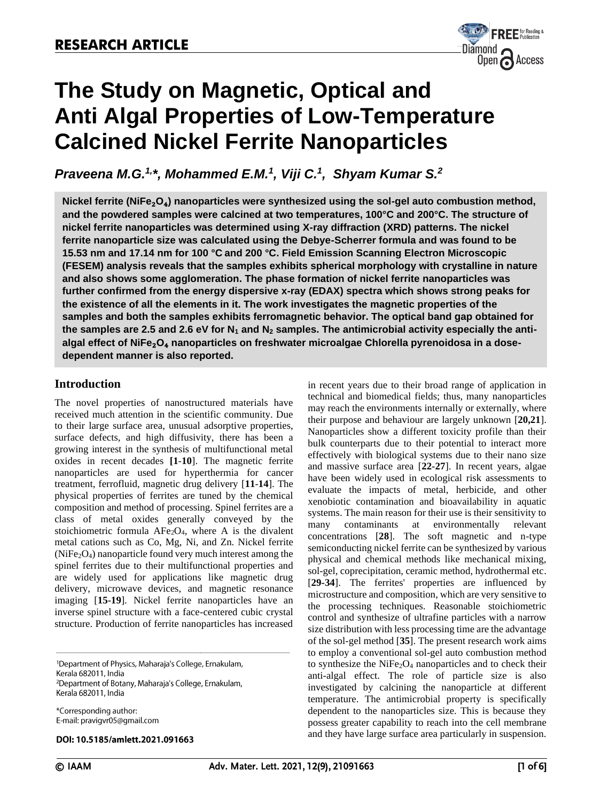

# **The Study on Magnetic, Optical and Anti Algal Properties of Low-Temperature Calcined Nickel Ferrite Nanoparticles**

*Praveena M.G. 1,\*, Mohammed E.M.<sup>1</sup> , Viji C. 1 , Shyam Kumar S. 2*

**Nickel ferrite (NiFe**₂**O**₄**) nanoparticles were synthesized using the sol-gel auto combustion method, and the powdered samples were calcined at two temperatures, 100°C and 200°C. The structure of nickel ferrite nanoparticles was determined using X-ray diffraction (XRD) patterns. The nickel ferrite nanoparticle size was calculated using the Debye-Scherrer formula and was found to be 15.53 nm and 17.14 nm for 100 °C and 200 °C. Field Emission Scanning Electron Microscopic (FESEM) analysis reveals that the samples exhibits spherical morphology with crystalline in nature and also shows some agglomeration. The phase formation of nickel ferrite nanoparticles was further confirmed from the energy dispersive x-ray (EDAX) spectra which shows strong peaks for the existence of all the elements in it. The work investigates the magnetic properties of the samples and both the samples exhibits ferromagnetic behavior. The optical band gap obtained for the samples are 2.5 and 2.6 eV for N<sup>1</sup> and N<sup>2</sup> samples. The antimicrobial activity especially the antialgal effect of NiFe**₂**O**₄ **nanoparticles on freshwater microalgae Chlorella pyrenoidosa in a dosedependent manner is also reported.** 

# **Introduction**

The novel properties of nanostructured materials have received much attention in the scientific community. Due to their large surface area, unusual adsorptive properties, surface defects, and high diffusivity, there has been a growing interest in the synthesis of multifunctional metal oxides in recent decades **[1**-**10**]. The magnetic ferrite nanoparticles are used for hyperthermia for cancer treatment, ferrofluid, magnetic drug delivery [**11**-**14**]. The physical properties of ferrites are tuned by the chemical composition and method of processing. Spinel ferrites are a class of metal oxides generally conveyed by the stoichiometric formula  $AFe<sub>2</sub>O<sub>4</sub>$ , where A is the divalent metal cations such as Co, Mg, Ni, and Zn. Nickel ferrite  $(NiFe<sub>2</sub>O<sub>4</sub>)$  nanoparticle found very much interest among the spinel ferrites due to their multifunctional properties and are widely used for applications like magnetic drug delivery, microwave devices, and magnetic resonance imaging [**15-19**]. Nickel ferrite nanoparticles have an inverse spinel structure with a face-centered cubic crystal structure. Production of ferrite nanoparticles has increased

<sup>1</sup>Department of Physics, Maharaja's College, Ernakulam, Kerala 682011, India <sup>2</sup>Department of Botany, Maharaja's College, Ernakulam, Kerala 682011, India

\*Corresponding author: E-mail: pravigvr05@gmail.com

### DOI: 10.5185/amlett.2021.091663

in recent years due to their broad range of application in technical and biomedical fields; thus, many nanoparticles may reach the environments internally or externally, where their purpose and behaviour are largely unknown [**20,21**]. Nanoparticles show a different toxicity profile than their bulk counterparts due to their potential to interact more effectively with biological systems due to their nano size and massive surface area [**22-27**]. In recent years, algae have been widely used in ecological risk assessments to evaluate the impacts of metal, herbicide, and other xenobiotic contamination and bioavailability in aquatic systems. The main reason for their use is their sensitivity to many contaminants at environmentally relevant concentrations [**28**]. The soft magnetic and n-type semiconducting nickel ferrite can be synthesized by various physical and chemical methods like mechanical mixing, sol-gel, coprecipitation, ceramic method, hydrothermal etc. [**29-34**]. The ferrites' properties are influenced by microstructure and composition, which are very sensitive to the processing techniques. Reasonable stoichiometric control and synthesize of ultrafine particles with a narrow size distribution with less processing time are the advantage of the sol-gel method [**35**]. The present research work aims to employ a conventional sol-gel auto combustion method to synthesize the  $NiFe<sub>2</sub>O<sub>4</sub>$  nanoparticles and to check their anti-algal effect. The role of particle size is also investigated by calcining the nanoparticle at different temperature. The antimicrobial property is specifically dependent to the nanoparticles size. This is because they possess greater capability to reach into the cell membrane and they have large surface area particularly in suspension.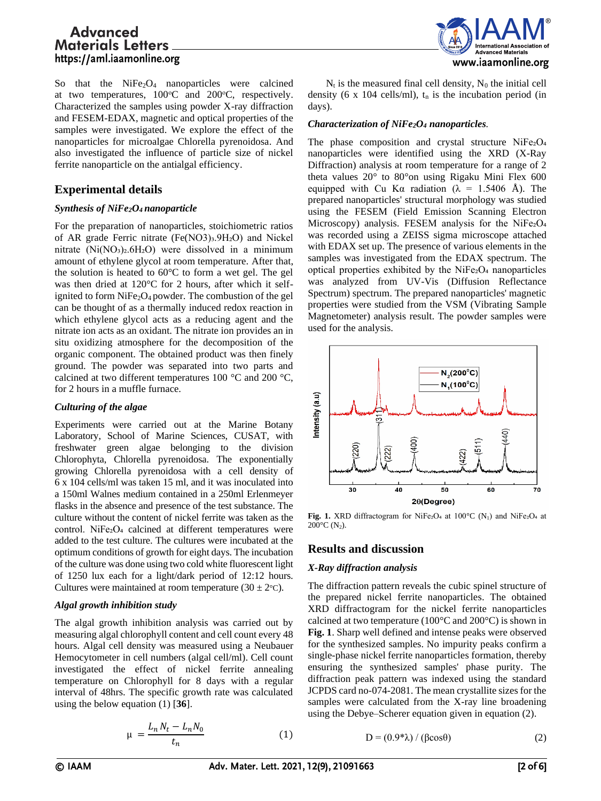So that the  $NiFe<sub>2</sub>O<sub>4</sub>$  nanoparticles were calcined at two temperatures,  $100^{\circ}\text{C}$  and  $200^{\circ}\text{C}$ , respectively. Characterized the samples using powder X-ray diffraction and FESEM-EDAX, magnetic and optical properties of the samples were investigated. We explore the effect of the nanoparticles for microalgae Chlorella pyrenoidosa. And also investigated the influence of particle size of nickel ferrite nanoparticle on the antialgal efficiency.

# **Experimental details**

## *Synthesis of NiFe2O4 nanoparticle*

For the preparation of nanoparticles, stoichiometric ratios of AR grade Ferric nitrate (Fe(NO3)3.9H2O) and Nickel nitrate  $(Ni(NO<sub>3</sub>)<sub>2</sub>.6H<sub>2</sub>O)$  were dissolved in a minimum amount of ethylene glycol at room temperature. After that, the solution is heated to 60°C to form a wet gel. The gel was then dried at 120°C for 2 hours, after which it selfignited to form  $NiFe<sub>2</sub>O<sub>4</sub>$  powder. The combustion of the gel can be thought of as a thermally induced redox reaction in which ethylene glycol acts as a reducing agent and the nitrate ion acts as an oxidant. The nitrate ion provides an in situ oxidizing atmosphere for the decomposition of the organic component. The obtained product was then finely ground. The powder was separated into two parts and calcined at two different temperatures 100 °C and 200 °C, for 2 hours in a muffle furnace.

## *Culturing of the algae*

Experiments were carried out at the Marine Botany Laboratory, School of Marine Sciences, CUSAT, with freshwater green algae belonging to the division Chlorophyta, Chlorella pyrenoidosa. The exponentially growing Chlorella pyrenoidosa with a cell density of 6 x 104 cells/ml was taken 15 ml, and it was inoculated into a 150ml Walnes medium contained in a 250ml Erlenmeyer flasks in the absence and presence of the test substance. The culture without the content of nickel ferrite was taken as the control. NiFe2O<sub>4</sub> calcined at different temperatures were added to the test culture. The cultures were incubated at the optimum conditions of growth for eight days. The incubation of the culture was done using two cold white fluorescent light of 1250 lux each for a light/dark period of 12:12 hours. Cultures were maintained at room temperature  $(30 \pm 2^{\circ} \text{C})$ .

## *Algal growth inhibition study*

The algal growth inhibition analysis was carried out by measuring algal chlorophyll content and cell count every 48 hours. Algal cell density was measured using a Neubauer Hemocytometer in cell numbers (algal cell/ml). Cell count investigated the effect of nickel ferrite annealing temperature on Chlorophyll for 8 days with a regular interval of 48hrs. The specific growth rate was calculated using the below equation (1) [**36**].

$$
\mu = \frac{L_n N_t - L_n N_0}{t_n} \tag{1}
$$



 $N_t$  is the measured final cell density,  $N_0$  the initial cell density (6 x 104 cells/ml),  $t_n$  is the incubation period (in days).

## *Characterization of NiFe2O<sup>4</sup> nanoparticles.*

The phase composition and crystal structure NiFe2O<sub>4</sub> nanoparticles were identified using the XRD (X-Ray Diffraction) analysis at room temperature for a range of 2 theta values 20° to 80°on using Rigaku Mini Flex 600 equipped with Cu Kα radiation ( $\lambda = 1.5406$  Å). The prepared nanoparticles' structural morphology was studied using the FESEM (Field Emission Scanning Electron Microscopy) analysis. FESEM analysis for the NiFe<sub>2</sub>O<sub>4</sub> was recorded using a ZEISS sigma microscope attached with EDAX set up. The presence of various elements in the samples was investigated from the EDAX spectrum. The optical properties exhibited by the  $NiFe<sub>2</sub>O<sub>4</sub>$  nanoparticles was analyzed from UV-Vis (Diffusion Reflectance Spectrum) spectrum. The prepared nanoparticles' magnetic properties were studied from the VSM (Vibrating Sample Magnetometer) analysis result. The powder samples were used for the analysis.



Fig. 1. XRD diffractogram for NiFe2O<sub>4</sub> at 100°C (N<sub>1</sub>) and NiFe2O<sub>4</sub> at  $200^{\circ}$ C (N<sub>2</sub>).

# **Results and discussion**

## *X-Ray diffraction analysis*

The diffraction pattern reveals the cubic spinel structure of the prepared nickel ferrite nanoparticles. The obtained XRD diffractogram for the nickel ferrite nanoparticles calcined at two temperature (100 $\degree$ C and 200 $\degree$ C) is shown in **Fig. 1**. Sharp well defined and intense peaks were observed for the synthesized samples. No impurity peaks confirm a single-phase nickel ferrite nanoparticles formation, thereby ensuring the synthesized samples' phase purity. The diffraction peak pattern was indexed using the standard JCPDS card no-074-2081. The mean crystallite sizes for the samples were calculated from the X-ray line broadening using the Debye–Scherer equation given in equation (2).

$$
D = (0.9 * \lambda) / (\beta \cos \theta)
$$
 (2)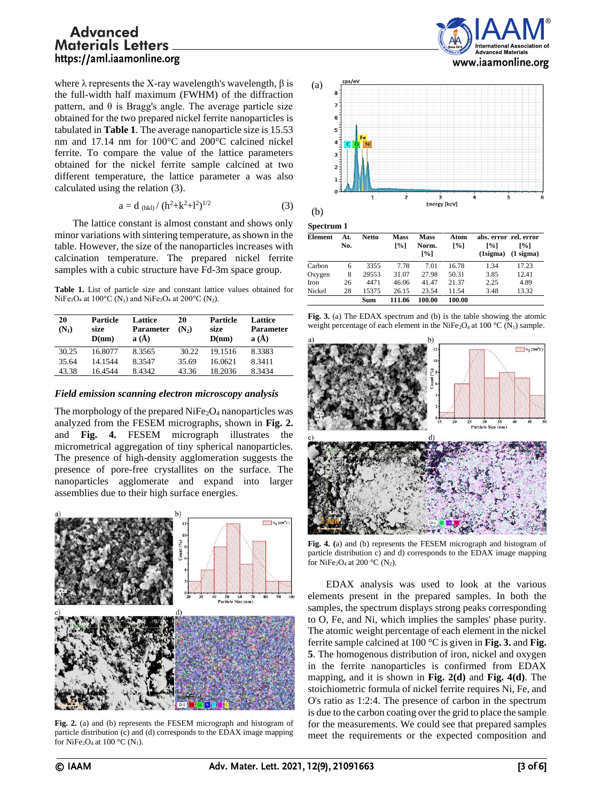where  $λ$  represents the X-ray wavelength's wavelength,  $β$  is the full-width half maximum (FWHM) of the diffraction pattern, and θ is Bragg's angle. The average particle size obtained for the two prepared nickel ferrite nanoparticles is tabulated in **Table 1**. The average nanoparticle size is 15.53 nm and 17.14 nm for 100°C and 200°C calcined nickel ferrite. To compare the value of the lattice parameters obtained for the nickel ferrite sample calcined at two different temperature, the lattice parameter a was also calculated using the relation (3).

$$
a = d_{(hkl)}/ (h^2 + k^2 + l^2)^{1/2}
$$
 (3)

The lattice constant is almost constant and shows only minor variations with sintering temperature, as shown in the table. However, the size of the nanoparticles increases with calcination temperature. The prepared nickel ferrite samples with a cubic structure have Fd-3m space group.

Table 1. List of particle size and constant lattice values obtained for NiFe<sub>2</sub>O<sub>4</sub> at 100<sup>o</sup>C (N<sub>1</sub>) and NiFe<sub>2</sub>O<sub>4</sub> at 200<sup>o</sup>C (N<sub>2</sub>).

| 20<br>$(N_1)$ | Particle<br>size<br>D(nm) | Lattice<br><b>Parameter</b><br>$a(\AA)$ | 2θ<br>(N <sub>2</sub> ) | Particle<br>size<br>D(nm) | Lattice<br><b>Parameter</b><br>$a(\AA)$ |
|---------------|---------------------------|-----------------------------------------|-------------------------|---------------------------|-----------------------------------------|
| 30.25         | 16.8077                   | 8.3565                                  | 30.22                   | 19.1516                   | 8.3383                                  |
| 35.64         | 14.1544                   | 8.3547                                  | 35.69                   | 16.0621                   | 8.3411                                  |
| 43.38         | 16.4544                   | 8.4342                                  | 43.36                   | 18.2036                   | 8.3434                                  |

#### *Field emission scanning electron microscopy analysis*

The morphology of the prepared  $NiFe<sub>2</sub>O<sub>4</sub>$  nanoparticles was analyzed from the FESEM micrographs, shown in **Fig. 2.** and **Fig. 4.** FESEM micrograph illustrates the micrometrical aggregation of tiny spherical nanoparticles. The presence of high-density agglomeration suggests the presence of pore-free crystallites on the surface. The nanoparticles agglomerate and expand into larger assemblies due to their high surface energies.



**Fig. 2.** (a) and (b) represents the FESEM micrograph and histogram of particle distribution (c) and (d) corresponds to the EDAX image mapping for NiFe<sub>2</sub>O<sub>4</sub> at 100 °C (N<sub>1</sub>).





**Spectrum 1**

| Element | At. | <b>Netto</b> | <b>Mass</b>        | <b>Mass</b>                 | Atom              |                                             | abs. error rel. error             |
|---------|-----|--------------|--------------------|-----------------------------|-------------------|---------------------------------------------|-----------------------------------|
|         | No. |              | $\lceil \% \rceil$ | Norm.<br>$\lceil \% \rceil$ | $\lceil\% \rceil$ | $\lceil 26 \rceil$<br>(1 <sub>sigma</sub> ) | $\lceil 20 \rceil$<br>$(1$ sigma) |
| Carbon  | 6   | 3355         | 7.78               | 7.01                        | 16.78             | 1.34                                        | 17.23                             |
| Oxygen  | 8   | 29553        | 31.07              | 27.98                       | 50.31             | 3.85                                        | 12.41                             |
| Iron    | 26  | 4471         | 46.06              | 41.47                       | 21.37             | 2.25                                        | 4.89                              |
| Nickel  | 28  | 15375        | 26.15              | 23.54                       | 11.54             | 3.48                                        | 13.32                             |
|         |     | Sum          | 111.06             | 100.00                      | 100.00            |                                             |                                   |





**Fig. 4. (**a) and (b) represents the FESEM micrograph and histogram of particle distribution c) and d) corresponds to the EDAX image mapping for NiFe<sub>2</sub>O<sub>4</sub> at 200 °C (N<sub>2</sub>).

EDAX analysis was used to look at the various elements present in the prepared samples. In both the samples, the spectrum displays strong peaks corresponding to O, Fe, and Ni, which implies the samples' phase purity. The atomic weight percentage of each element in the nickel ferrite sample calcined at 100 °C is given in **Fig. 3.** and **Fig. 5**. The homogenous distribution of iron, nickel and oxygen in the ferrite nanoparticles is confirmed from EDAX mapping, and it is shown in **Fig. 2(d)** and **Fig. 4(d)**. The stoichiometric formula of nickel ferrite requires Ni, Fe, and O's ratio as 1:2:4. The presence of carbon in the spectrum is due to the carbon coating over the grid to place the sample for the measurements. We could see that prepared samples meet the requirements or the expected composition and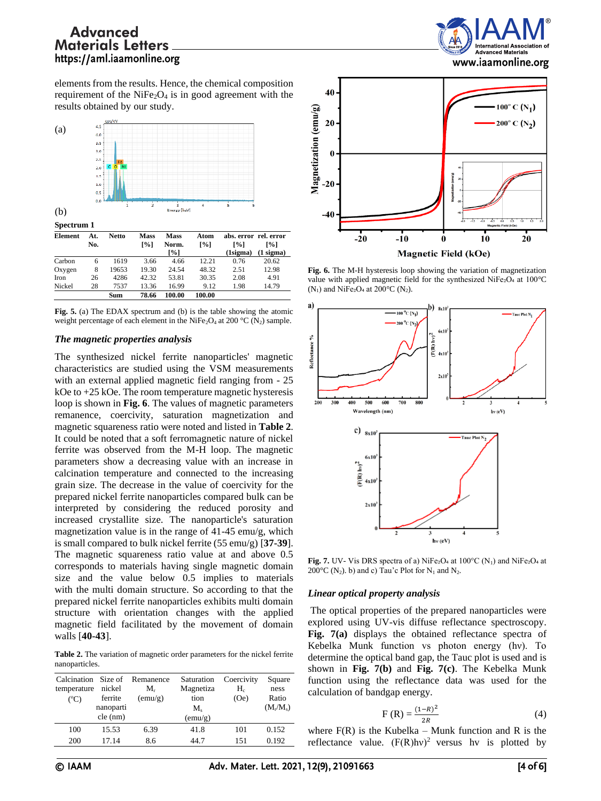

elements from the results. Hence, the chemical composition requirement of the  $NiFe<sub>2</sub>O<sub>4</sub>$  is in good agreement with the results obtained by our study.



**Fig. 5.** (a) The EDAX spectrum and (b) is the table showing the atomic weight percentage of each element in the NiFe<sub>2</sub>O<sub>4</sub> at 200 °C (N<sub>2</sub>) sample.

## *The magnetic properties analysis*

The synthesized nickel ferrite nanoparticles' magnetic characteristics are studied using the VSM measurements with an external applied magnetic field ranging from - 25 kOe to +25 kOe. The room temperature magnetic hysteresis loop is shown in **Fig. 6**. The values of magnetic parameters remanence, coercivity, saturation magnetization and magnetic squareness ratio were noted and listed in **Table 2**. It could be noted that a soft ferromagnetic nature of nickel ferrite was observed from the M-H loop. The magnetic parameters show a decreasing value with an increase in calcination temperature and connected to the increasing grain size. The decrease in the value of coercivity for the prepared nickel ferrite nanoparticles compared bulk can be interpreted by considering the reduced porosity and increased crystallite size. The nanoparticle's saturation magnetization value is in the range of 41-45 emu/g, which is small compared to bulk nickel ferrite (55 emu/g) [**37-39**]. The magnetic squareness ratio value at and above 0.5 corresponds to materials having single magnetic domain size and the value below 0.5 implies to materials with the multi domain structure. So according to that the prepared nickel ferrite nanoparticles exhibits multi domain structure with orientation changes with the applied magnetic field facilitated by the movement of domain walls [**40-43**].

**Table 2.** The variation of magnetic order parameters for the nickel ferrite nanoparticles.

| Calcination Size of<br>temperature<br>$({}^{\circ}C)$ | nickel<br>ferrite<br>nanoparti<br>cle (nm) | Remanence<br>M.<br>(emu/g) | Saturation<br>Magnetiza<br>tion<br>$M_{\rm s}$<br>(emu/g) | Coercivity<br>$H_c$<br>(Oe) | Square<br>ness<br>Ratio<br>$(M_r/M_s)$ |
|-------------------------------------------------------|--------------------------------------------|----------------------------|-----------------------------------------------------------|-----------------------------|----------------------------------------|
| 100                                                   | 15.53                                      | 6.39                       | 41.8                                                      | 101                         | 0.152                                  |
| 200                                                   | 17.14                                      | 8.6                        | 44.7                                                      | 151                         | 0.192                                  |



**Fig. 6.** The M-H hysteresis loop showing the variation of magnetization value with applied magnetic field for the synthesized NiFe2O<sub>4</sub> at  $100^{\circ}$ C  $(N_1)$  and NiFe<sub>2</sub>O<sub>4</sub> at 200 $^{\circ}$ C (N<sub>2</sub>).



**Fig. 7.** UV- Vis DRS spectra of a) NiFe<sub>2</sub>O<sub>4</sub> at  $100^{\circ}$ C (N<sub>1</sub>) and NiFe<sub>2</sub>O<sub>4</sub> at 200 $^{\circ}$ C (N<sub>2</sub>). b) and c) Tau'c Plot for N<sub>1</sub> and N<sub>2</sub>.

#### *Linear optical property analysis*

The optical properties of the prepared nanoparticles were explored using UV-vis diffuse reflectance spectroscopy. **Fig. 7(a)** displays the obtained reflectance spectra of Kebelka Munk function vs photon energy (hν). To determine the optical band gap, the Tauc plot is used and is shown in **Fig. 7(b)** and **Fig. 7(c)**. The Kebelka Munk function using the reflectance data was used for the calculation of bandgap energy.

$$
F(R) = \frac{(1 - R)^2}{2R}
$$
 (4)

where  $F(R)$  is the Kubelka – Munk function and R is the reflectance value.  $(F(R)hv)^2$  versus hv is plotted by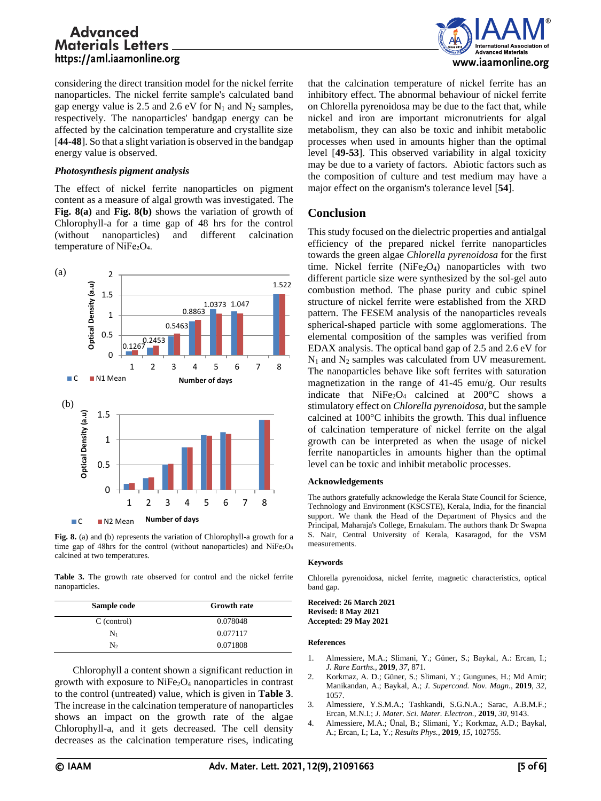considering the direct transition model for the nickel ferrite nanoparticles. The nickel ferrite sample's calculated band gap energy value is 2.5 and 2.6 eV for  $N_1$  and  $N_2$  samples, respectively. The nanoparticles' bandgap energy can be affected by the calcination temperature and crystallite size [**44-48**]. So that a slight variation is observed in the bandgap energy value is observed.

## *Photosynthesis pigment analysis*

The effect of nickel ferrite nanoparticles on pigment content as a measure of algal growth was investigated. The **Fig. 8(a)** and **Fig. 8(b)** shows the variation of growth of Chlorophyll-a for a time gap of 48 hrs for the control (without nanoparticles) and different calcination temperature of NiFe2O<sub>4</sub>.



**Fig. 8.** (a) and (b) represents the variation of Chlorophyll-a growth for a time gap of 48hrs for the control (without nanoparticles) and NiFe2O<sub>4</sub> calcined at two temperatures.

Table 3. The growth rate observed for control and the nickel ferrite nanoparticles.

| Sample code | <b>Growth rate</b> |
|-------------|--------------------|
| C (control) | 0.078048           |
| $N_1$       | 0.077117           |
| $N_{2}$     | 0.071808           |

Chlorophyll a content shown a significant reduction in growth with exposure to  $NiFe<sub>2</sub>O<sub>4</sub>$  nanoparticles in contrast to the control (untreated) value, which is given in **Table 3**. The increase in the calcination temperature of nanoparticles shows an impact on the growth rate of the algae Chlorophyll-a, and it gets decreased. The cell density decreases as the calcination temperature rises, indicating



that the calcination temperature of nickel ferrite has an inhibitory effect. The abnormal behaviour of nickel ferrite on Chlorella pyrenoidosa may be due to the fact that, while nickel and iron are important micronutrients for algal metabolism, they can also be toxic and inhibit metabolic processes when used in amounts higher than the optimal level [**49-53**]. This observed variability in algal toxicity may be due to a variety of factors. Abiotic factors such as the composition of culture and test medium may have a major effect on the organism's tolerance level [**54**].

## **Conclusion**

This study focused on the dielectric properties and antialgal efficiency of the prepared nickel ferrite nanoparticles towards the green algae *Chlorella pyrenoidosa* for the first time. Nickel ferrite  $(NiFe<sub>2</sub>O<sub>4</sub>)$  nanoparticles with two different particle size were synthesized by the sol-gel auto combustion method. The phase purity and cubic spinel structure of nickel ferrite were established from the XRD pattern. The FESEM analysis of the nanoparticles reveals spherical-shaped particle with some agglomerations. The elemental composition of the samples was verified from EDAX analysis. The optical band gap of 2.5 and 2.6 eV for  $N_1$  and  $N_2$  samples was calculated from UV measurement. The nanoparticles behave like soft ferrites with saturation magnetization in the range of 41-45 emu/g. Our results indicate that  $NiFe<sub>2</sub>O<sub>4</sub>$  calcined at 200°C shows a stimulatory effect on *Chlorella pyrenoidosa,* but the sample calcined at 100°C inhibits the growth. This dual influence of calcination temperature of nickel ferrite on the algal growth can be interpreted as when the usage of nickel ferrite nanoparticles in amounts higher than the optimal level can be toxic and inhibit metabolic processes.

#### **Acknowledgements**

The authors gratefully acknowledge the Kerala State Council for Science, Technology and Environment (KSCSTE), Kerala, India, for the financial support. We thank the Head of the Department of Physics and the Principal, Maharaja's College, Ernakulam. The authors thank Dr Swapna S. Nair, Central University of Kerala, Kasaragod, for the VSM measurements.

#### **Keywords**

Chlorella pyrenoidosa, nickel ferrite, magnetic characteristics, optical band gap.

**Received: 26 March 2021 Revised: 8 May 2021 Accepted: 29 May 2021**

#### **References**

- 1. Almessiere, M.A.; Slimani, Y.; Güner, S.; Baykal, A.: Ercan, I.; *J. Rare Earths.,* **2019**, *37,* 871.
- 2. Korkmaz, A. D.; Güner, S.; Slimani, Y.; Gungunes, H.; Md Amir; Manikandan, A.; Baykal, A.; *J. Supercond. Nov. Magn.,* **2019**, *32,* 1057.
- 3. Almessiere, Y.S.M.A.; Tashkandi, S.G.N.A.; Sarac, A.B.M.F.; Ercan, M.N.I.; *J. Mater. Sci. Mater. Electron.,* **2019**, *30,* 9143.
- 4. Almessiere, M.A.; Ünal, B.; Slimani, Y.; Korkmaz, A.D.; Baykal, A.; Ercan, I.; La, Y.; *Results Phys.,* **2019**, *15,* 102755.